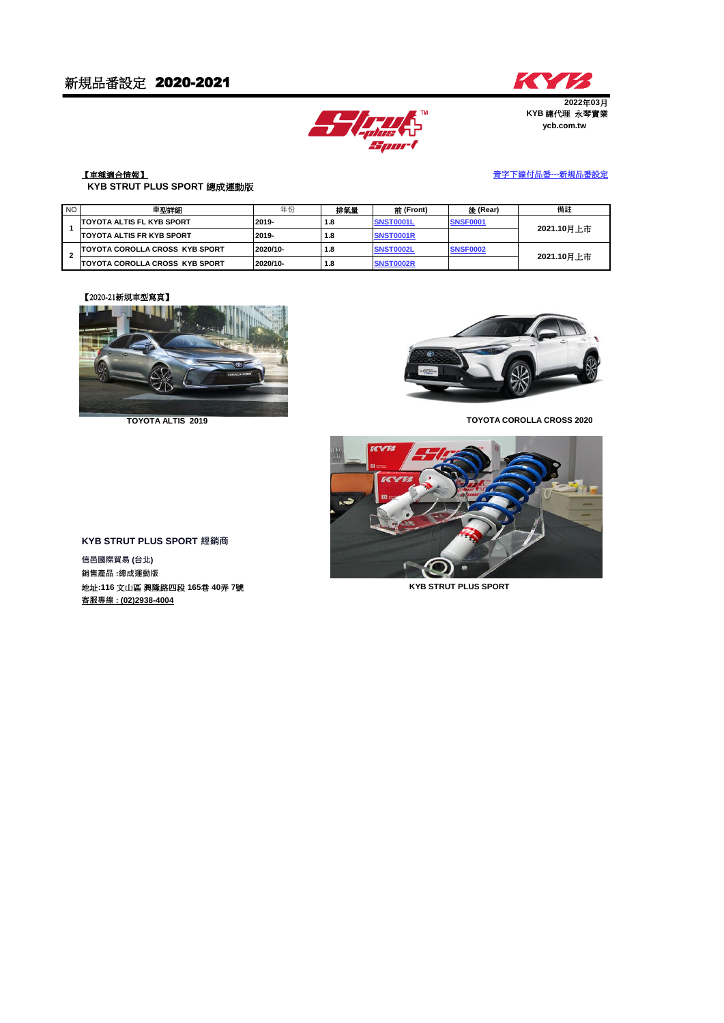



### **ycb.com.tw 2022**年**03**月 **KYB** 總代理永琴實業

#### 【車種適合情報】  **KYB STRUT PLUS SPORT** 總成運動版

# 青字下線付品番**---**新規品番設定

| NO. | 車型詳細                                   | 年份       | 排氣量 | 前 (Front)        | 後 (Rear)        | 備註         |
|-----|----------------------------------------|----------|-----|------------------|-----------------|------------|
|     | <b>ITOYOTA ALTIS FL KYB SPORT</b>      | 2019-    | 1.8 | SNST0001L        | <b>SNSF0001</b> | 2021.10月上市 |
|     | <b>ITOYOTA ALTIS FR KYB SPORT</b>      | 2019-    | 1.8 | SNST0001R        |                 |            |
| ີ   | <b>TOYOTA COROLLA CROSS KYB SPORT</b>  | 2020/10- | 1.8 | <b>SNST0002L</b> | <b>SNSF0002</b> | 2021.10月上市 |
|     | <b>ITOYOTA COROLLA CROSS KYB SPORT</b> | 2020/10- | 1.8 | <b>SNST0002R</b> |                 |            |

## 【2020-21新規車型寫真】



**TOYOTA ALTIS 2019**



**TOYOTA COROLLA CROSS 2020**



**KYB STRUT PLUS SPORT 經銷商**

**信邑國際貿易 (台北) 銷售產品 :總成運動版** 地址**:116** 文山區 興隆路四段 **165**巷 **40**弄 **7**號 **KYB STRUT PLUS SPORT 客服專線 : (02)2938-4004**